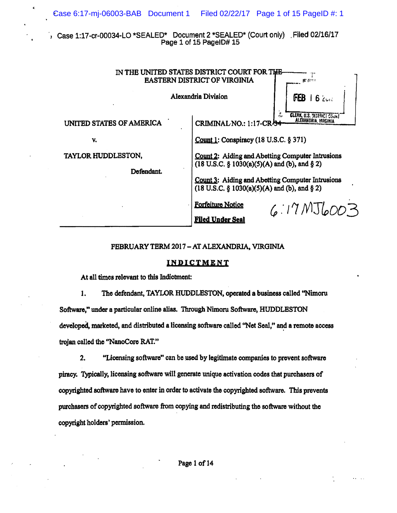Case 1:17-cr-00034-LO \*SEALED\* Document 2 \*SEALED\* (Court only) Filed 02/16/17 Page 1 of 15 PageID# 15

| IN THE UNITED STATES DISTRICT COURT FOR THE<br><b>EASTERN DISTRICT OF VIRGINIA</b> |                                                                                                                                                                                                                 | 化 你!!                                    |
|------------------------------------------------------------------------------------|-----------------------------------------------------------------------------------------------------------------------------------------------------------------------------------------------------------------|------------------------------------------|
| Alexandria Division                                                                |                                                                                                                                                                                                                 | FEB<br>62                                |
| UNITED STATES OF AMERICA                                                           | CRIMINAL NO.: 1:17-CR-54                                                                                                                                                                                        | л.<br><b>CLERK, U.S. 9131 RICI COUNT</b> |
| v.                                                                                 | Count 1: Conspiracy (18 U.S.C. § 371)                                                                                                                                                                           |                                          |
| TAYLOR HUDDLESTON,<br>Defendant.                                                   | Count 2: Aiding and Abetting Computer Intrusions<br>(18 U.S.C. § 1030(a)(5)(A) and (b), and § 2)<br>Count 3: Aiding and Abetting Computer Intrusions<br>$(18 \text{ U.S.C. } § 1030(a)(5)(A)$ and (b), and § 2) |                                          |
|                                                                                    | <b>Forfeiture Notice</b><br><b>Filed Under Seal</b>                                                                                                                                                             | $6.17$ $MJ_{600}$ 3                      |

## FEBRUARY TERM 2017 - AT ALEXANDRIA, VIRGINIA

## INDICTMENT

At all times relevant to this Indictment:

Ŕ,

1. The defendant, TAYLOR HUDDLESTON, operated a business called "Nimoru Software," under a particular online alias. Through Nimoru Software, HUDDLESTON developed, marketed, and distributed a licensing software called "Net Seal," and a remote access trojan called the "NanoCore RAT."

"Licensing software" can be used by legitimate companies to prevent software  $2.$ piracy. Typically, licensing software will generate unique activation codes that purchasers of copyrighted software have to enter in order to activate the copyrighted software. This prevents purchasers of copyrighted software from copying and redistributing the software without the copyright holders' permission.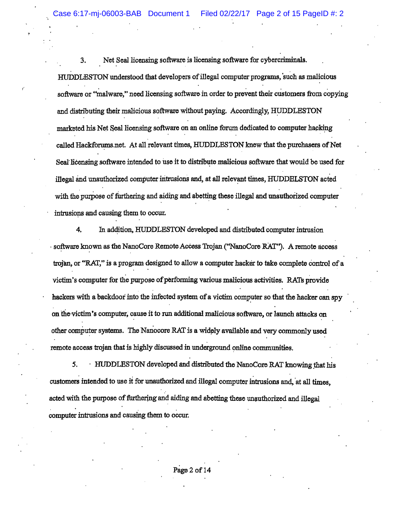ase 6:17-mj-06003-BAB Document 1 Filed 02/22/17 Page 2 of 15 PageID #: 2

3. Net Seal licensing software is licensing software for cybercriminals. , where the contribution of the contribution of the contribution of the contribution  $\mathcal{L}_\mathcal{A}$ HUDDLESTON understood that developers ofillegal computer programs, 'such as malicious , and the set of the set of the set of the set of the set of the set of the set of the set of the set of the set of the set of the set of the set of the set of the set of the set of the set of the set of the set of the se software or "malware," need licensing software in order to prevent their customers from copying and distributing their malicious software without paying. Accordingly, HUDDLESTON marketed his Net Seal licensing software on an online forum dedicated to computer hacking called Hackforums.net. At all relevant times, HUDDLESTON knew that the purchasers of Net Seal licensing software intended to use it to distribute malicious software that would be used for illegal and unauthorized computer intrusions and, at all relevant times, HUDDELSTON acted with the purpose of furthering and aiding and abetting these illegal and unauthorized computer intrusions and causing them to occur.

4. In ad4ition, HUDDLESTON developed and distributed computer intrusion  $\sim$  software known as the NanoCore Remote Access Trojan ("NanoCore RAT"). A remote access trojan, or "RAT," is a program designed to allow a computer hacker to take complete control of a victim's computer for the purpose of performing various malicious activities. RATs provide hackers with a backdoor into the infected system of a victim computer so that the hacker can spy on the-victim's computer, cause it to run additional malicious software, or launch attacks on other computer systems. The Nanocore RAT is a widely available and very commonly used remote access trojan that is highly discussed in underground online communities.

5. . HUDDLESTON developed and distributed the NanoCore RAT knowing that his customers intended to use it for unauthorized and illegal computer intrusions and, at all times, acted with the purpose of furthering and aiding and abetting these unauthorized and illegal 5. HUDDLESTON developed and dist<br>customers intended to use it for unauthorized and il<br>acted with the purpose of furthering and aiding and<br>computer intrusions and causing them to occur. computer intrusions and causing them to occur.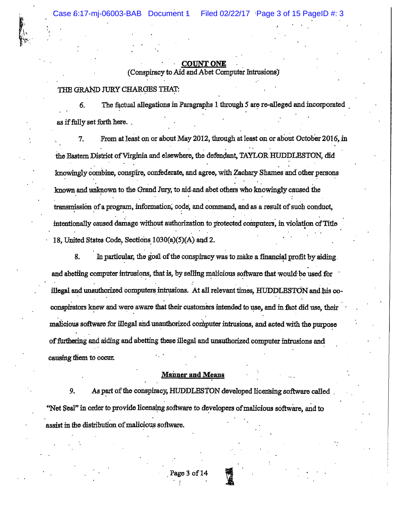## **COUNT ONE**

(Conspiracy to Aid and Abet Computer Intrusions)

# THE GRAND JURY CHARGES THAT:

The factual allegations in Paragraphs 1 through 5 are re-alleged and incorporated 6. as if fully set forth here.

From at least on or about May 2012, through at least on or about October 2016, in 7. the Eastern District of Virginia and elsewhere, the defendant, TAYLOR HUDDLESTON, did knowingly combine, conspire, confederate, and agree, with Zachary Shames and other persons known and unknown to the Grand Jury, to aid and abet others who knowingly caused the transmission of a program, information, code, and command, and as a result of such conduct, intentionally caused damage without authorization to protected computers, in violation of Title 18, United States Code, Sections 1030(a)(5)(A) and 2.

8. In particular, the goal of the conspiracy was to make a financial profit by aiding. and abetting computer intrusions, that is, by selling malicious software that would be used for illegal and unauthorized computers intrusions. At all relevant times, HUDDLESTON and his coconspirators knew and were aware that their customers intended to use, and in fact did use, their malicious software for illegal and unauthorized computer intrusions, and acted with the purpose of furthering and aiding and abetting these illegal and unauthorized computer intrusions and causing them to occur.

## **Manner and Means**

9. As part of the conspiracy, HUDDLESTON developed licensing software called "Net Seal" in order to provide licensing software to developers of malicious software, and to assist in the distribution of malicious software.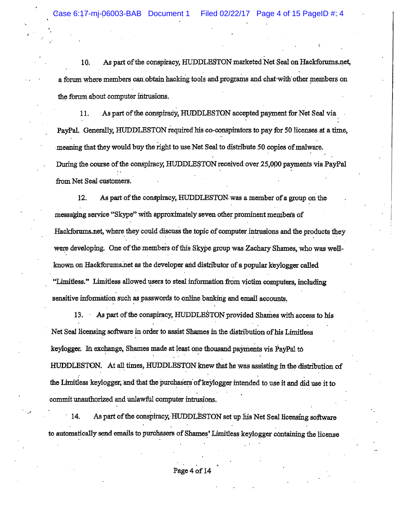"

10. As part of the conspiracy, HUDDLESTON marketed Net Seal on Hackforums.net, a forum where members can obtain hacking tools and programs and chat-with other members on the forum about computer intrusions.

11. As part of the conspiracy, HUDDLESTON accepted payment for Net Seal via PayPal. Generally, HUDDLESTON required his co-conspirators to pay for 50 licenses at a time, meaning that they would buy the right to use Net Seal to distribute 50 copies of malware. During the course of the conspiracy, HUDDLESTON received over 25,000 payments via PayPal from Net Seal customers.

12. As part ofthe conspiracy, HUDDLESTON. was a member ofa group on the messaging service "Skype" with approximately seven other prominent members of Hackforums.net, where they could discuss the topic of computer intrusions and the products they were developing. One of the members of this Skype group was Zachary Shames, who was wellknown on Hackforums.net as the developer and distributor of a popular keylogger called "Limitless." Limitless allowed users to steal information from victim computers, including sensitive information such as passwords to online banking and email accounts.

the Limitless keylogger, and that the purchasers of keylogger intended to use it and did use it to 13. As part of the conspiracy, HUDDLESTON provided Shames with access to his Net Seal licensing software in order to assist Shames in the distribution of his Limitless keylogger. In exchange, Shames made at least one thousand payments via PayPal to HUDDLESTON. At all times, HUDDLESTON knew that he was assisting in the distribution of  $\mathcal{L} = \{ \mathcal{L} \mid \mathcal{L} \in \mathcal{L} \}$  , where  $\mathcal{L} = \{ \mathcal{L} \mid \mathcal{L} \in \mathcal{L} \}$  , where  $\mathcal{L} = \{ \mathcal{L} \mid \mathcal{L} \in \mathcal{L} \}$ commit unauthorized and unlawful computer intrusions.

14. As part of the conspiracy, HUDDLESTON set up his Net Seal licensing software to automatically send emails to purchasers of Shames' Limitless keylogger containing the license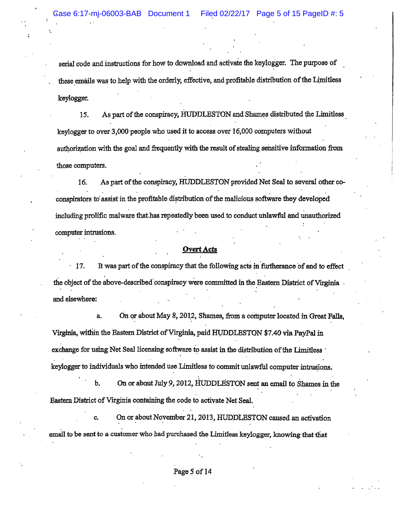'.

serial code and instructions for how to download and activate the koylogger. The purpose of these emails was to help with the orderly, effective, and profitable distribution of the Limitless keylogger.

15. As part of the conspiracy, HUDDLESTON and Shames distributed the Limitless key logger to over 3,000 people who used it to access over 16,000 computers without authorization with the goal and frequently with the result of stealing sensitive information from those computers.

16. As part of the conspiracy, HUDDLESTON provided Net Seal to several other co-. . conspirators to assist in the profitable distribution of the malicious software they developed including prolific malware that has repeatedly been used to conduct unlawful and unauthorized computer intrusions.

## **Overt Acts**

17. It was part of the conspiracy that the following acts in furtherance of and to effect the object of the above-described conspiracy were committed in the Eastern District of Virginia and elsewhere:

a. On or about May 8, 2012, Shames, from a computer located in Great Falls, Virginia, within the Eastern District of Virginia, paid HUDDLESTON \$7.40 via PayPal in exchange for using Net Seal licensing software to assist in the distribution of the Limitless ' keylogger to individuals who intended use Limitless to commit unlawful computer intrusions.

b. On or about July 9, 2012, HUDDLESTON sent an email to Shames in the Eastern District of Virginia containing the code to activate Net Seal.

c. On or about November 21, 2013, HUDDLESTON caused an activation email to be sent to a customer who had purchased the Limitless keylogger, knowing that that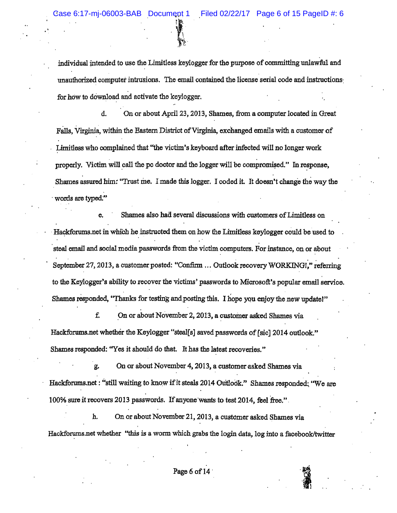individual intended to use the Limitless keylogger for the purpose of committing unlawful and unauthorized computer intrusions. The email contained the license serial code and instructions: for how to download and activate the keylogger.

: IS . The  $\mathcal{F}_1$  $\sum_{i=1}^N\frac{1}{i}$ 

d. On or about Apri123, 2013, Shames, from a computer located in Great Falls, Virginia, within the Eastern District of Virginia, exchanged emails with a customer of Limitless who complained that "the victim's keyboard after infected will no longer work properly. Victim will call the pc doctor and the logger will be compromised." In response, Shames assured him: "Trust me. I made this logger. I coded it. It doesn't change the way the words are typed."

e. Shames also had several discussions with customers of Limitless on Hackforums.net in which he instructed them on how the Limitless keylogger could be used to 'steal email and social media passwords from the victim computers. For instance, on or about September 27, 2013, a customer posted: "Confirm ... Outlook recovery WORKING!," referring , , to the Keylogger's ability to recover the victims' passwords to Microsoft's popular email service. Shames responded, "Thanks for testing and posting this. I hope you enjoy the new update!"

f. On or about November 2, 2013, a customer asked Shames via Hackforums.net whether the Keylogger "stea1[s] saved passwords of [sic] 2014 outlook." Shames responded: "Yes it should do that. It has the latest recoveries."

g. On or about November 4, 2013, a customer asked Shames via Hackforums.net : "still waiting to know if it steals 2014 Outlook." Shames responded: "We are 100% sure it recovers 2013 passwords. If anyone wants to test 2014, feel free."

h. On or about November 21,2013, a customer asked Shames via Hackforums.net whether "this is a worm which grabs the login data, log into a facebook/twitter

 $\frac{4}{3}$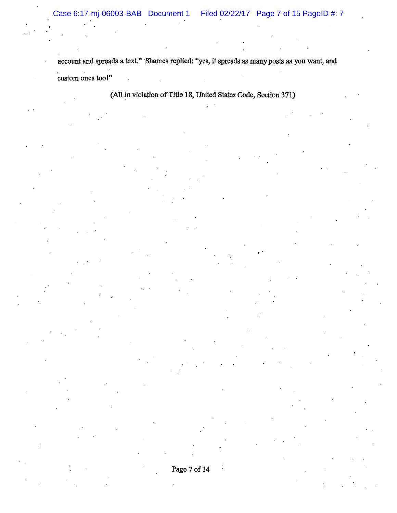"

, '

account and spreads a text." Shames replied: "yes, it spreads as many posts as you want, and custom ones too!"

(All in violation of Title 18, United States Code, Section 371)

Page 7 of 14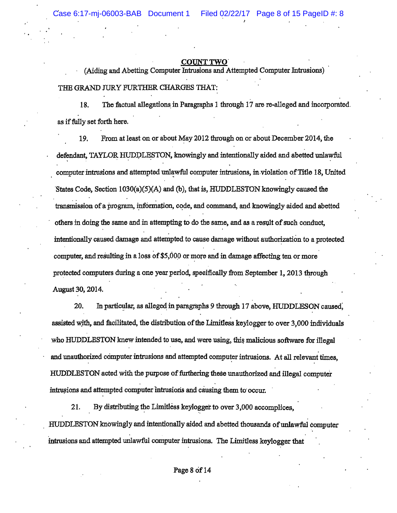,<br>, . .

#### COUNT TWO'

(Aiding and Abetting Computer Intrusions and Attempted Computer Jntrusions) THE GRAND JURy FURTIIER CHARGES THAT:

18. The factual allegations in Paragraphs 1 through 17 are re-alleged and incorporated. as iffully set forth here.

19. From at least on or about May 2012 through on or about December 2014, the defendant, TAYLOR HUDDLESTON, knowingly and intentionally aided and abetted unlawful , computer intrusions and attempted unlawful computer intrusions, in,violation ofTItle 18, United . 'States Code, Section 1030(a)(S)(A) and (b), that is, HUDDLESTON knowingly caused the , , , transmission of a program, information, code, and command, and knowingly aided and abetted others in doing the same and in attempting to do the same, and as a result of such conduct, intentionally caused damage and attempted to cause damage without authorization to a protected computer, and resulting in a loss of \$5,000 or more and in damage affecting ten or more protected computers during a one year period, specifically from September 1, 2013 through August 30, 2014.

20. In particular, as alleged in paragraphs 9 through 17 above, HUDDLESON caused, assisted with, and facilitated, the distribution of the Limitless keylogger to over 3,000 individuals who HUDDLESTON knew intended to use, and were using, this malicious software for illegal and unauthorized computer intrusions and attempted computer intrusions. At all relevant times, HUDDLESTON acted with the purpose of furthering these unauthorized and illegal computer , , intrusions and attempted computer intrusions and causing them to occur.

21. By distributing the Limitless keylogger to over 3,000 accomplices, HUDDLESTON knowingly and intentionally aided and abetted thousands ofunlawful computer intrusions and attempted unlawful computer intrusions. The Limitless keylogger that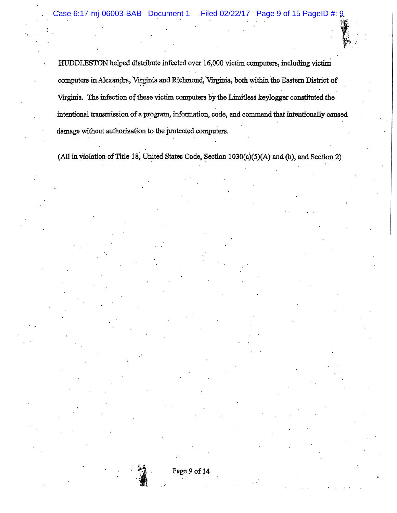HUDDLESTON helped distribute infected over 16,000 victim computers, including victini computers in Alexandra, Virginia and Richmond, Virginia, both within the Eastern District of Virginia. The infection of these victim computers by the Limitless keylogger constituted the intentional transmission of a program, information, code, and command that intentionally caused damage without authorization to the protected computers.

(All in violation of Title 18, United States Code, Section  $1030(a)(5)(A)$  and (b), and Section 2)



. J

"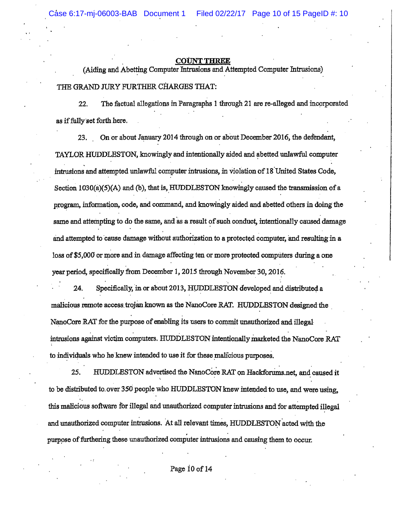#### UNT THREE

(Aiding and Abetting Computer Intrusions and Attempted Computer Intrusions) THE GRAND JURy FURTHER CHARGES THAT:

22. The factual allegations in Paragraphs 1 through 21 are re-alleged and incorporated as iffully'set forth here.

23. On or about January 2014 through on or about December 2016, the defendant, TAYLOR HUDDLESTON, knowingly and intentionally aided and abetted unlawful computer intrusions and attempted unlawful computer intrusions, in violation of 18 United States Code, Section  $1030(a)(5)(A)$  and (b), that is, HUDDLESTON knowingly caused the transmission of a program, infonnation, code, and command, and knowingly aided and abetted others in doing the same and attempting to do the same, and as a result of such conduct, intentionally caused damage and attempted to cause damage without authorization to a protected computer, and resulting in a loss of \$5,000 or more and in damage affecting ten or more protected computers during a one year period, specifically from December 1, 2015 through November 30, 2016.

24. Specifically, in or about 2013, HUDDLESTON developed and distributed a malicious remote access, trojan known as the NanoCore RAT. HUDDLESTON designed the . NanoCore RAT for the purpose of enabling its users to commit unauthorized and illegal specifically from December 1, 2015 through November 30, 2016.<br>Specifically, in or about 2013, HUDDLESTON developed and dinote access trojan known as the NanoCore RAT. HUDDLESTON<br>AT for the purpose of enabling its users to intrusions against victim computers. HUDDLESTON intentionally marketed the NanoCore RAT to individuals who he knew intended to use it for these malicious purposes.

25. HUDDLESTON advertised the NanoCore RAT on Hackforums.net, and caused it to be distributed to. over 350 people who HUDDLESTON knew intended to use, and were using, this malicious software for illegal and unauthorized computer intrusions and for attempted illegal and unauthorized computer intrusions. At all relevant times, HUDDLESTON acted with the . u.u<br>.<br>. purpose of furthering these unauthorized computer intrusions and causing them to occur.

. ,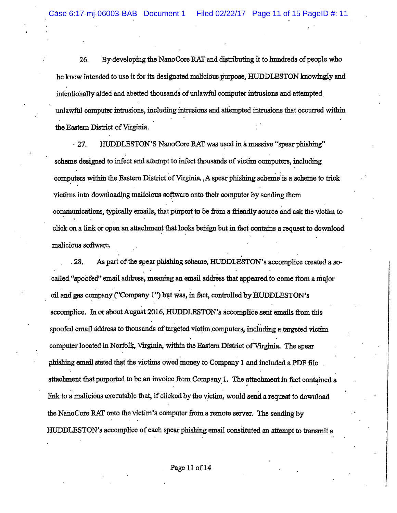26. By developing the NanoCore RAT and distributing it to hundreds of people who he lmew intended to use it for its designated malicious purpose, HUDDLESTON knowmgly and intentionally aided and abetted thousands of unlawful computer intrusions and attempted unlawful computer intrusions, including intrusions and attempted intrusions that occurred within the Eastern District of Virginia.

 $\cdot$  27. HUDDLESTON'S NanoCore RAT was used in a massive "spear phishing" scheme designed to infect and attempt to infect thousands of victim computers, including  $\ddot{\cdot}$  : computers within the Eastern District of Virginia. , A spear phishing scheme is a scheme to trick victims into downloading malicious software onto their computer by sending them communications, typically emails, that purport to be from a friendly source and ask the victim to click on a link or open an attachment that looks benign but in fact contains a request to download malicious software.

, and the contract of the contract of the contract of the contract of the contract of the contract of the contract of the contract of the contract of the contract of the contract of the contract of the contract of the con 28. As part of the spear phishing scheme, HUDDLESTON's accomplice created a socalled "spoofed" email address, meaning an email address that appeared to come from a major oil and gas company ("Company 1") but was, in fact, controlled by HUDDLESTON's accomplice. In or about August 2016, HUDDLESTON's acoomplice sent emails from this spoofed email address to thousands of targeted victim computers, including a targeted victim computer located in Norfolk, Virginia, within the Eastern District of Virginia. The spear phishing email stated that the victims owed money to Company 1 and included a PDF file attachment that purported to be an invoice from Company 1. The attachment in fact contained a link to a malicious executable that, if clicked by the victim, would send a request to download the NanoCore RAT onto the victim's computer from a remote server. The sending by HUDDLESTON's accomplice of each spear phishing email constituted an attempt to transmit a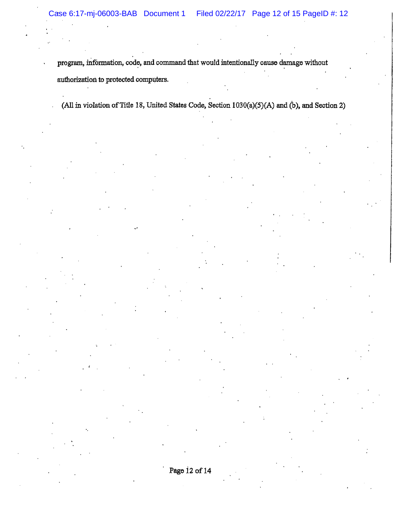. .

program, information, code, and command that would intentionally cause damage without authorization to protected computers.

(All in violation of Title 18, United States Code, Section  $1030(a)(5)(A)$  and  $(b)$ , and Section 2)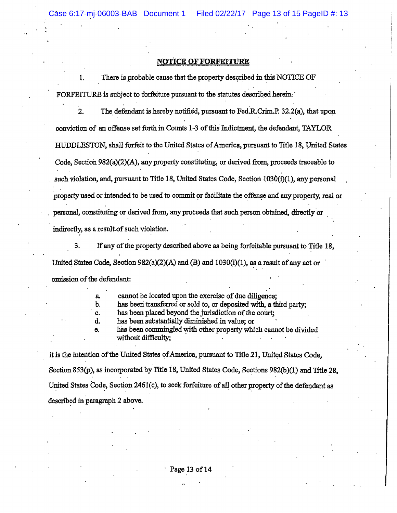#### **NOTICE OF FORFEITURE**

1. There is probable cause that the property described in this NOTICE OF FORFEITURE is subject to forfeiture pursuant to the statutes described herein;

2. The defendant is hereby notified, pursuant to Fed.R.Crim.P.  $32.2(a)$ , that upon conviction of an offense set forth in Counts 1-3 ofthis Indictment, the defendant, TAYLOR HUDDLESTON, shall forfeit to the United States ofAmerica, pursuant to TItle 18, Vnited States Code, Section  $982(a)(2)(A)$ , any property constituting, or derived from, proceeds traceable to such violation, and, pursuant to Title 18, United States Code, Section  $1030(i)(1)$ , any personal property used or intended to be used to commit or facilitate the offense and any property, real or personal, constituting or derived from, any proceeds that such person obtained, directly or indirectly, as a result-of such violation.

3. If any of the property described above as being forfeitable pursuant to Title 18, United States Code, Section  $982(a)(2)(A)$  and  $(B)$  and  $1030(i)(1)$ , as a result of any act or omission of the defendant:

a. cannot be located upon the exercise of due diligence;

b. has been transferred or sold to, or deposited with, a third party;

c. has been placed beyond the jurisdiction of the court;

d. has been substantially diminished in value; or

e. has been commingled with other property which cannot be divided without difficulty;

it is the intention of the United States of America, pursuant to Title 21, United States Code, Section 853(p), as incorporated by Title 18, United States Code, Sections 982(b)(1) and Title 28, Section 853(p), as incorporated by Title 18, United States Code, Sections 982(b)(1) and Title 28<br>United States Code, Section 2461(c), to seek forfeiture of all other property of the defendant as<br>described in personable 2 s described in paragraph 2 above.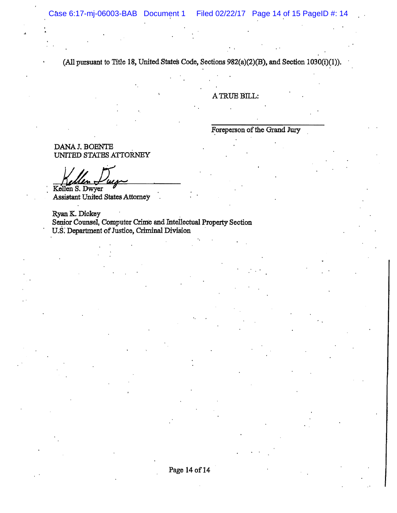(All pursuant to Title 18, United States Code, Sections 982(a)(2)(B), and Section 1030(i)(1)).

A TRUE BILL:

Foreperson of the Grand Jury

DANA J. BOENTE UNITED STATES ATTORNEY

Kellen S. Dwyer Assistant United States Attorney

Ryan K. Dickey Senior Counsel, Computer Crime and Intellectual Property Section U.S. Department of Justice, Criminal Division

Page 14 of 14